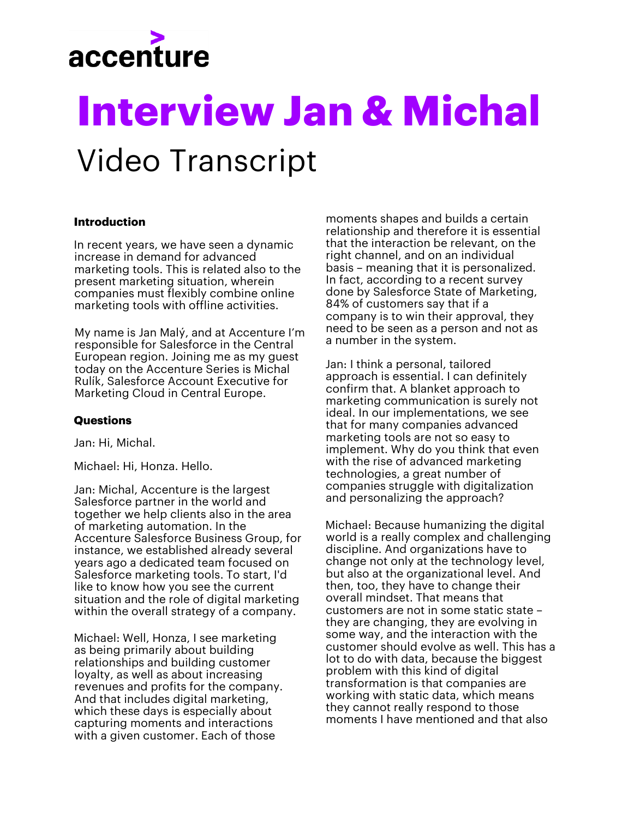

# **Interview Jan & Michal** Video Transcript

#### **Introduction**

In recent years, we have seen a dynamic increase in demand for advanced marketing tools. This is related also to the present marketing situation, wherein companies must flexibly combine online marketing tools with offline activities.

My name is Jan Malý, and at Accenture I'm responsible for Salesforce in the Central European region. Joining me as my guest today on the Accenture Series is Michal Rulík, Salesforce Account Executive for Marketing Cloud in Central Europe.

#### **Questions**

Jan: Hi, Michal.

Michael: Hi, Honza. Hello.

Jan: Michal, Accenture is the largest Salesforce partner in the world and together we help clients also in the area of marketing automation. In the Accenture Salesforce Business Group, for instance, we established already several years ago a dedicated team focused on Salesforce marketing tools. To start, I'd like to know how you see the current situation and the role of digital marketing within the overall strategy of a company.

Michael: Well, Honza, I see marketing as being primarily about building relationships and building customer loyalty, as well as about increasing revenues and profits for the company. And that includes digital marketing, which these days is especially about capturing moments and interactions with a given customer. Each of those

moments shapes and builds a certain relationship and therefore it is essential that the interaction be relevant, on the right channel, and on an individual basis – meaning that it is personalized. In fact, according to a recent survey done by Salesforce State of Marketing, 84% of customers say that if a company is to win their approval, they need to be seen as a person and not as a number in the system.

Jan: I think a personal, tailored approach is essential. I can definitely confirm that. A blanket approach to marketing communication is surely not ideal. In our implementations, we see that for many companies advanced marketing tools are not so easy to implement. Why do you think that even with the rise of advanced marketing technologies, a great number of companies struggle with digitalization and personalizing the approach?

Michael: Because humanizing the digital world is a really complex and challenging discipline. And organizations have to change not only at the technology level, but also at the organizational level. And then, too, they have to change their overall mindset. That means that customers are not in some static state – they are changing, they are evolving in some way, and the interaction with the customer should evolve as well. This has a lot to do with data, because the biggest problem with this kind of digital transformation is that companies are working with static data, which means they cannot really respond to those moments I have mentioned and that also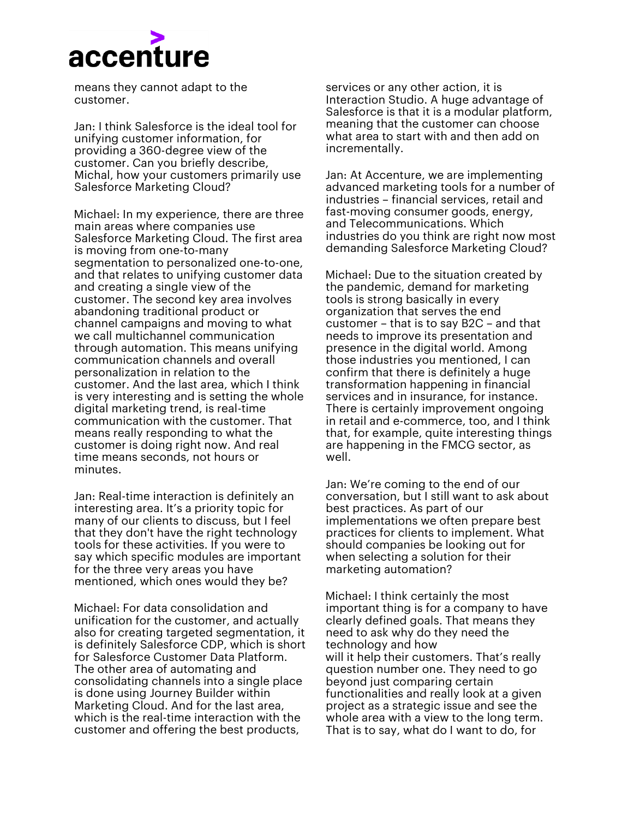## accenture

means they cannot adapt to the customer.

Jan: I think Salesforce is the ideal tool for unifying customer information, for providing a 360-degree view of the customer. Can you briefly describe, Michal, how your customers primarily use Salesforce Marketing Cloud?

Michael: In my experience, there are three main areas where companies use Salesforce Marketing Cloud. The first area is moving from one-to-many segmentation to personalized one-to-one, and that relates to unifying customer data and creating a single view of the customer. The second key area involves abandoning traditional product or channel campaigns and moving to what we call multichannel communication through automation. This means unifying communication channels and overall personalization in relation to the customer. And the last area, which I think is very interesting and is setting the whole digital marketing trend, is real-time communication with the customer. That means really responding to what the customer is doing right now. And real time means seconds, not hours or minutes.

Jan: Real-time interaction is definitely an interesting area. It's a priority topic for many of our clients to discuss, but I feel that they don't have the right technology tools for these activities. If you were to say which specific modules are important for the three very areas you have mentioned, which ones would they be?

Michael: For data consolidation and unification for the customer, and actually also for creating targeted segmentation, it is definitely Salesforce CDP, which is short for Salesforce Customer Data Platform. The other area of automating and consolidating channels into a single place is done using Journey Builder within Marketing Cloud. And for the last area, which is the real-time interaction with the customer and offering the best products,

services or any other action, it is Interaction Studio. A huge advantage of Salesforce is that it is a modular platform, meaning that the customer can choose what area to start with and then add on incrementally.

Jan: At Accenture, we are implementing advanced marketing tools for a number of industries – financial services, retail and fast-moving consumer goods, energy, and Telecommunications. Which industries do you think are right now most demanding Salesforce Marketing Cloud?

Michael: Due to the situation created by the pandemic, demand for marketing tools is strong basically in every organization that serves the end customer – that is to say B2C – and that needs to improve its presentation and presence in the digital world. Among those industries you mentioned, I can confirm that there is definitely a huge transformation happening in financial services and in insurance, for instance. There is certainly improvement ongoing in retail and e-commerce, too, and I think that, for example, quite interesting things are happening in the FMCG sector, as well.

Jan: We're coming to the end of our conversation, but I still want to ask about best practices. As part of our implementations we often prepare best practices for clients to implement. What should companies be looking out for when selecting a solution for their marketing automation?

Michael: I think certainly the most important thing is for a company to have clearly defined goals. That means they need to ask why do they need the technology and how will it help their customers. That's really question number one. They need to go beyond just comparing certain functionalities and really look at a given project as a strategic issue and see the whole area with a view to the long term. That is to say, what do I want to do, for